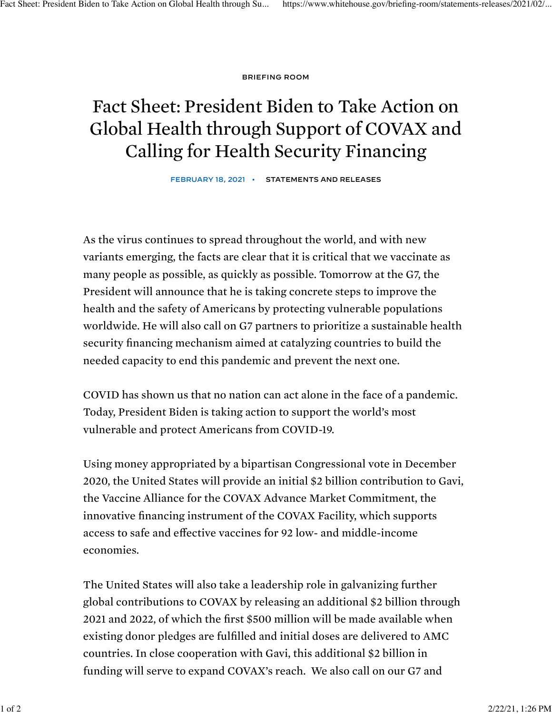BRIEFING ROOM

## Fact Sheet: President Biden to Take Action on Global Health through Support of COVAX and Calling for Health Security Financing

FEBRUARY 18, 2021 • STATEMENTS AND RELEASES

As the virus continues to spread throughout the world, and with new variants emerging, the facts are clear that it is critical that we vaccinate as many people as possible, as quickly as possible. Tomorrow at the G7, the President will announce that he is taking concrete steps to improve the health and the safety of Americans by protecting vulnerable populations worldwide. He will also call on G7 partners to prioritize a sustainable health security financing mechanism aimed at catalyzing countries to build the needed capacity to end this pandemic and prevent the next one.

COVID has shown us that no nation can act alone in the face of a pandemic. Today, President Biden is taking action to support the world's most vulnerable and protect Americans from COVID-19.

Using money appropriated by a bipartisan Congressional vote in December 2020, the United States will provide an initial \$2 billion contribution to Gavi, the Vaccine Alliance for the COVAX Advance Market Commitment, the innovative financing instrument of the COVAX Facility, which supports access to safe and effective vaccines for 92 low- and middle-income economies.

The United States will also take a leadership role in galvanizing further global contributions to COVAX by releasing an additional \$2 billion through 2021 and 2022, of which the first \$500 million will be made available when existing donor pledges are fulfilled and initial doses are delivered to AMC countries. In close cooperation with Gavi, this additional \$2 billion in funding will serve to expand COVAX's reach. We also call on our G7 and